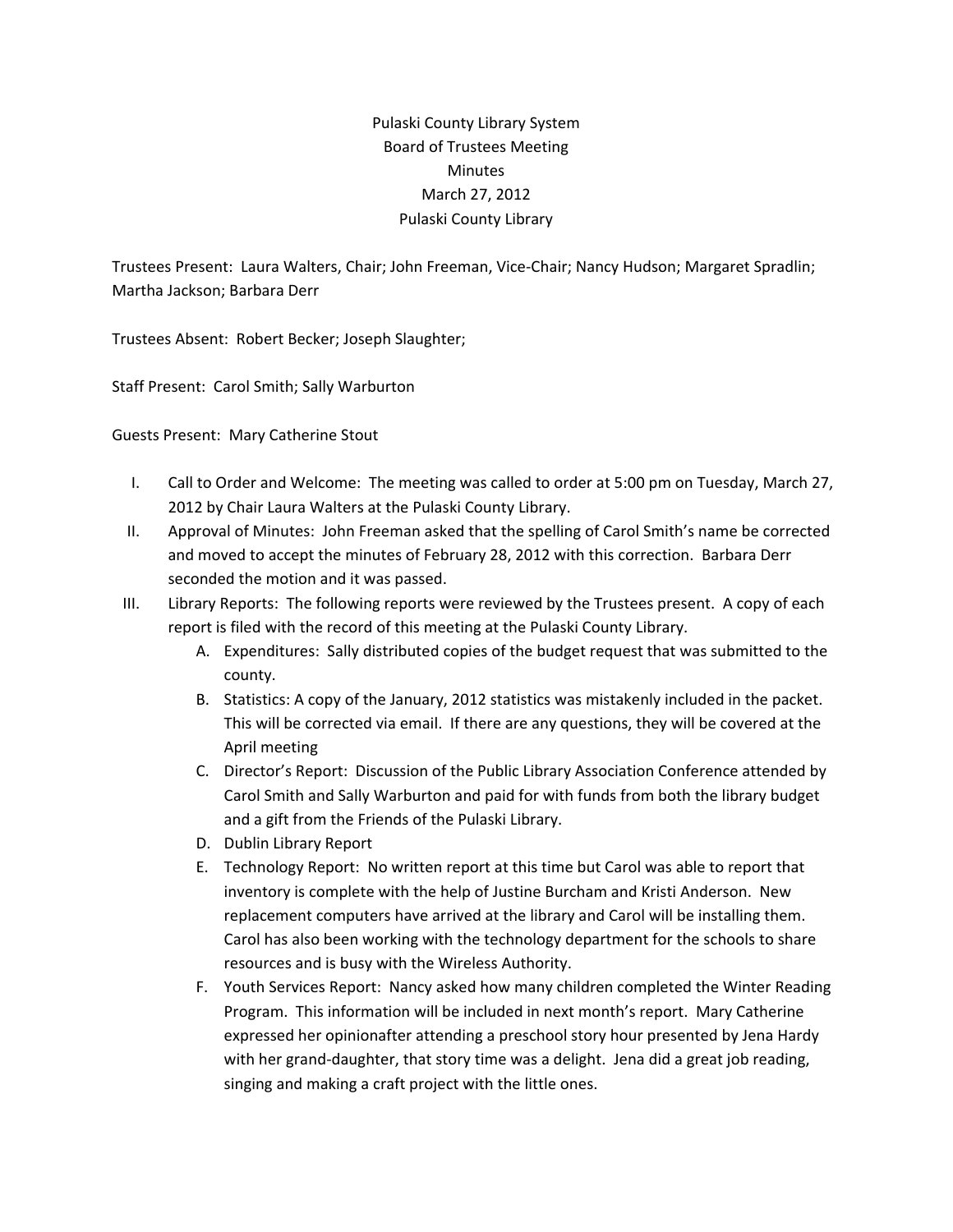## Pulaski County Library System Board of Trustees Meeting **Minutes** March 27, 2012 Pulaski County Library

Trustees Present: Laura Walters, Chair; John Freeman, Vice‐Chair; Nancy Hudson; Margaret Spradlin; Martha Jackson; Barbara Derr

Trustees Absent: Robert Becker; Joseph Slaughter;

Staff Present: Carol Smith; Sally Warburton

Guests Present: Mary Catherine Stout

- I. Call to Order and Welcome: The meeting was called to order at 5:00 pm on Tuesday, March 27, 2012 by Chair Laura Walters at the Pulaski County Library.
- II. Approval of Minutes: John Freeman asked that the spelling of Carol Smith's name be corrected and moved to accept the minutes of February 28, 2012 with this correction. Barbara Derr seconded the motion and it was passed.
- III. Library Reports: The following reports were reviewed by the Trustees present. A copy of each report is filed with the record of this meeting at the Pulaski County Library.
	- A. Expenditures: Sally distributed copies of the budget request that was submitted to the county.
	- B. Statistics: A copy of the January, 2012 statistics was mistakenly included in the packet. This will be corrected via email. If there are any questions, they will be covered at the April meeting
	- C. Director's Report: Discussion of the Public Library Association Conference attended by Carol Smith and Sally Warburton and paid for with funds from both the library budget and a gift from the Friends of the Pulaski Library.
	- D. Dublin Library Report
	- E. Technology Report: No written report at this time but Carol was able to report that inventory is complete with the help of Justine Burcham and Kristi Anderson. New replacement computers have arrived at the library and Carol will be installing them. Carol has also been working with the technology department for the schools to share resources and is busy with the Wireless Authority.
	- F. Youth Services Report: Nancy asked how many children completed the Winter Reading Program. This information will be included in next month's report. Mary Catherine expressed her opinionafter attending a preschool story hour presented by Jena Hardy with her grand-daughter, that story time was a delight. Jena did a great job reading, singing and making a craft project with the little ones.